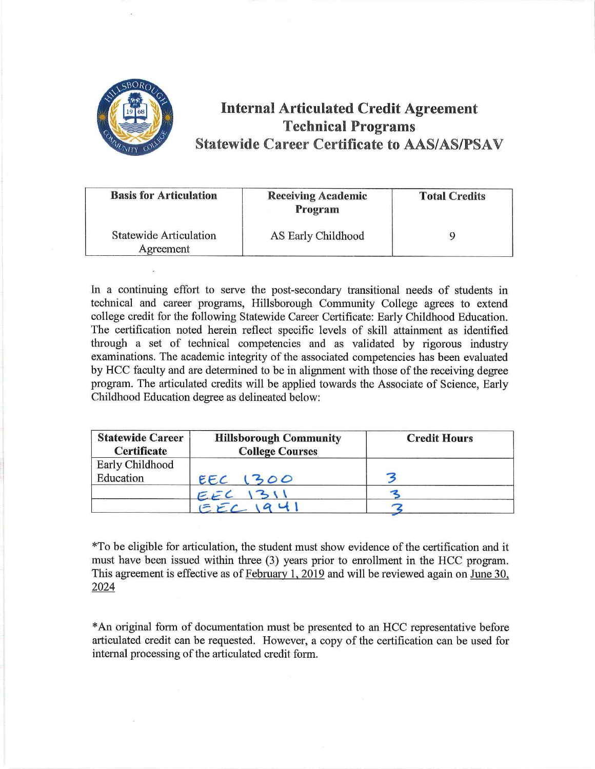

## **Internal Articulated Credit Agreement Technical Programs Statewide Career Certificate to AAS/AS/PSAV**

| <b>Basis for Articulation</b>              | <b>Receiving Academic</b><br>Program | <b>Total Credits</b> |
|--------------------------------------------|--------------------------------------|----------------------|
| <b>Statewide Articulation</b><br>Agreement | AS Early Childhood                   |                      |

In a continuing effort to serve the post-secondary transitional needs of students in technical and career programs, Hillsborough Community College agrees to extend college credit for the following Statewide Career Certificate: Early Childhood Education. The certification noted herein reflect specific levels of skill attainment as identified through a set of technical competencies and as validated by rigorous industry examinations. The academic integrity of the associated competencies has been evaluated by HCC faculty and are determined to be in alignment with those of the receiving degree program. The articulated credits will be applied towards the Associate of Science, Early Childhood Education degree as delineated below:

| <b>Statewide Career</b><br><b>Certificate</b> | <b>Hillsborough Community</b><br><b>College Courses</b> | <b>Credit Hours</b> |
|-----------------------------------------------|---------------------------------------------------------|---------------------|
| Early Childhood<br>Education                  | 1300<br>EEC                                             |                     |
|                                               |                                                         |                     |

\*To be eligible for articulation, the student must show evidence of the certification and it must have been issued within three (3) years prior to enrollment in the HCC program. This agreement is effective as of February 1, 2019 and will be reviewed again on June 30, 2024

\* An original form of documentation must be presented to an HCC representative before articulated credit can be requested. However, a copy of the certification can be used for internal processing of the articulated credit form.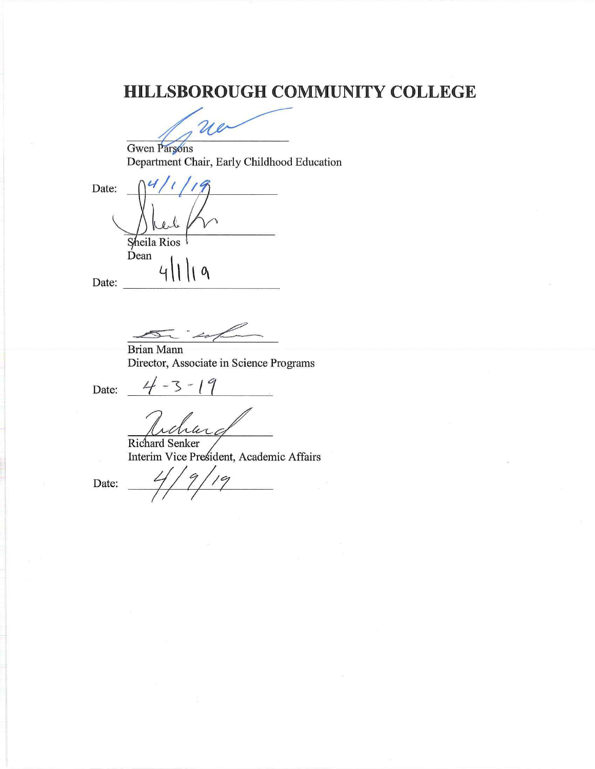# **HILLSBOROUGH COMMUNITY COLLEGE**

ue

Gwen Parsons Department Chair, Early Childhood Education

Date: Sheila Rios Dean  $\boldsymbol{\theta}$ Date:

Brian Mann Director, Associate in Science Programs

Date:

 $4 - 3 - 19$ 

Richard Senker Interim Vice President, Academic Affairs

Date: